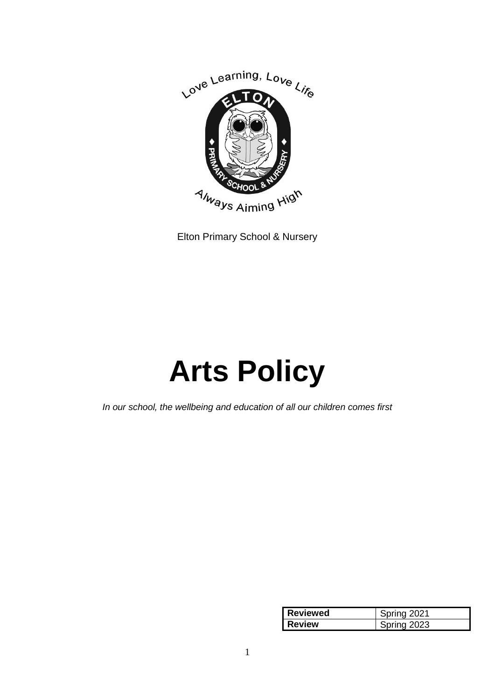

Elton Primary School & Nursery

# **Arts Policy**

*In our school, the wellbeing and education of all our children comes first*

| <b>Reviewed</b> | 7021 rina   |
|-----------------|-------------|
| <b>Review</b>   | Snrina 2023 |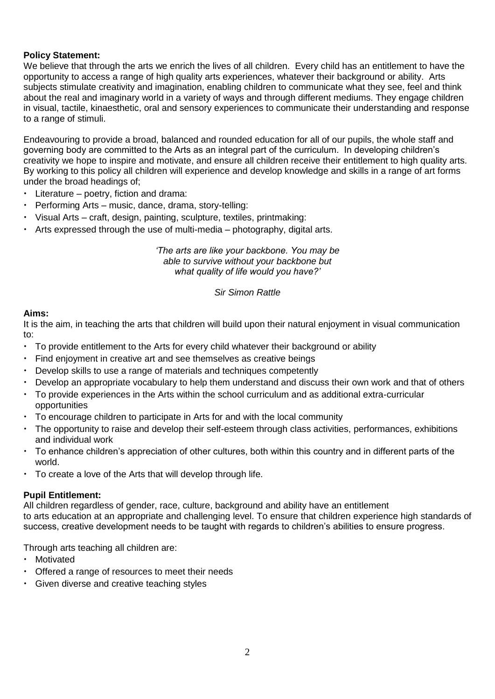## **Policy Statement:**

We believe that through the arts we enrich the lives of all children. Every child has an entitlement to have the opportunity to access a range of high quality arts experiences, whatever their background or ability. Arts subjects stimulate creativity and imagination, enabling children to communicate what they see, feel and think about the real and imaginary world in a variety of ways and through different mediums. They engage children in visual, tactile, kinaesthetic, oral and sensory experiences to communicate their understanding and response to a range of stimuli.

Endeavouring to provide a broad, balanced and rounded education for all of our pupils, the whole staff and governing body are committed to the Arts as an integral part of the curriculum. In developing children's creativity we hope to inspire and motivate, and ensure all children receive their entitlement to high quality arts. By working to this policy all children will experience and develop knowledge and skills in a range of art forms under the broad headings of;

- Literature poetry, fiction and drama:
- Performing Arts music, dance, drama, story-telling:
- Visual Arts craft, design, painting, sculpture, textiles, printmaking:
- Arts expressed through the use of multi-media photography, digital arts.

*'The arts are like your backbone. You may be able to survive without your backbone but what quality of life would you have?'*

*Sir Simon Rattle*

#### **Aims:**

It is the aim, in teaching the arts that children will build upon their natural enjoyment in visual communication to:

- To provide entitlement to the Arts for every child whatever their background or ability
- Find enjoyment in creative art and see themselves as creative beings
- Develop skills to use a range of materials and techniques competently
- Develop an appropriate vocabulary to help them understand and discuss their own work and that of others
- To provide experiences in the Arts within the school curriculum and as additional extra-curricular opportunities
- To encourage children to participate in Arts for and with the local community
- The opportunity to raise and develop their self-esteem through class activities, performances, exhibitions and individual work
- To enhance children's appreciation of other cultures, both within this country and in different parts of the world.
- To create a love of the Arts that will develop through life.

#### **Pupil Entitlement:**

All children regardless of gender, race, culture, background and ability have an entitlement to arts education at an appropriate and challenging level. To ensure that children experience high standards of success, creative development needs to be taught with regards to children's abilities to ensure progress.

Through arts teaching all children are:

- Motivated
- Offered a range of resources to meet their needs
- Given diverse and creative teaching styles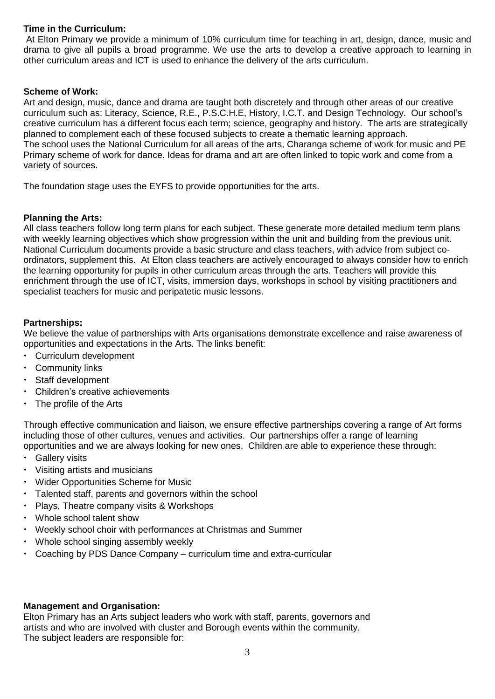## **Time in the Curriculum:**

At Elton Primary we provide a minimum of 10% curriculum time for teaching in art, design, dance, music and drama to give all pupils a broad programme. We use the arts to develop a creative approach to learning in other curriculum areas and ICT is used to enhance the delivery of the arts curriculum.

#### **Scheme of Work:**

Art and design, music, dance and drama are taught both discretely and through other areas of our creative curriculum such as: Literacy, Science, R.E., P.S.C.H.E, History, I.C.T. and Design Technology. Our school's creative curriculum has a different focus each term; science, geography and history. The arts are strategically planned to complement each of these focused subjects to create a thematic learning approach. The school uses the National Curriculum for all areas of the arts, Charanga scheme of work for music and PE Primary scheme of work for dance. Ideas for drama and art are often linked to topic work and come from a variety of sources.

The foundation stage uses the EYFS to provide opportunities for the arts.

#### **Planning the Arts:**

All class teachers follow long term plans for each subject. These generate more detailed medium term plans with weekly learning objectives which show progression within the unit and building from the previous unit. National Curriculum documents provide a basic structure and class teachers, with advice from subject coordinators, supplement this. At Elton class teachers are actively encouraged to always consider how to enrich the learning opportunity for pupils in other curriculum areas through the arts. Teachers will provide this enrichment through the use of ICT, visits, immersion days, workshops in school by visiting practitioners and specialist teachers for music and peripatetic music lessons.

#### **Partnerships:**

We believe the value of partnerships with Arts organisations demonstrate excellence and raise awareness of opportunities and expectations in the Arts. The links benefit:

- Curriculum development
- Community links
- Staff development
- Children's creative achievements
- The profile of the Arts

Through effective communication and liaison, we ensure effective partnerships covering a range of Art forms including those of other cultures, venues and activities. Our partnerships offer a range of learning opportunities and we are always looking for new ones. Children are able to experience these through:

- Gallery visits
- Visiting artists and musicians
- Wider Opportunities Scheme for Music
- Talented staff, parents and governors within the school
- Plays, Theatre company visits & Workshops
- Whole school talent show
- Weekly school choir with performances at Christmas and Summer
- Whole school singing assembly weekly
- Coaching by PDS Dance Company curriculum time and extra-curricular

#### **Management and Organisation:**

Elton Primary has an Arts subject leaders who work with staff, parents, governors and artists and who are involved with cluster and Borough events within the community. The subject leaders are responsible for: